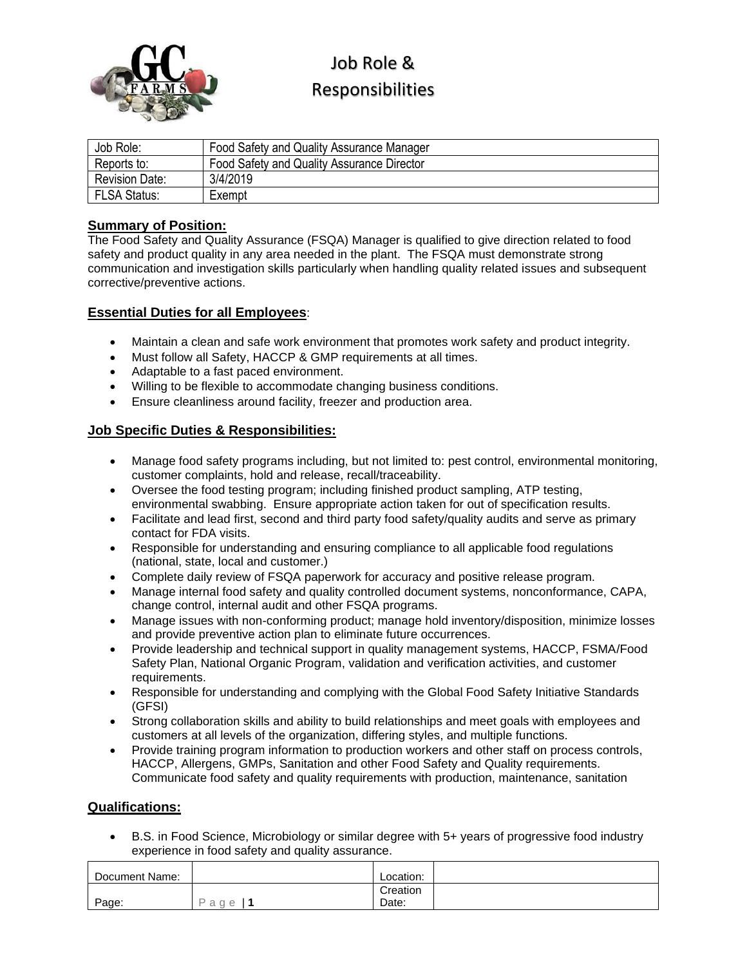

# Job Role & Responsibilities

| Job Role:             | Food Safety and Quality Assurance Manager  |
|-----------------------|--------------------------------------------|
| Reports to:           | Food Safety and Quality Assurance Director |
| <b>Revision Date:</b> | 3/4/2019                                   |
| <b>FLSA Status:</b>   | Exempt                                     |

## **Summary of Position:**

The Food Safety and Quality Assurance (FSQA) Manager is qualified to give direction related to food safety and product quality in any area needed in the plant. The FSQA must demonstrate strong communication and investigation skills particularly when handling quality related issues and subsequent corrective/preventive actions.

### **Essential Duties for all Employees**:

- Maintain a clean and safe work environment that promotes work safety and product integrity.
- Must follow all Safety, HACCP & GMP requirements at all times.
- Adaptable to a fast paced environment.
- Willing to be flexible to accommodate changing business conditions.
- Ensure cleanliness around facility, freezer and production area.

### **Job Specific Duties & Responsibilities:**

- Manage food safety programs including, but not limited to: pest control, environmental monitoring, customer complaints, hold and release, recall/traceability.
- Oversee the food testing program; including finished product sampling, ATP testing, environmental swabbing. Ensure appropriate action taken for out of specification results.
- Facilitate and lead first, second and third party food safety/quality audits and serve as primary contact for FDA visits.
- Responsible for understanding and ensuring compliance to all applicable food regulations (national, state, local and customer.)
- Complete daily review of FSQA paperwork for accuracy and positive release program.
- Manage internal food safety and quality controlled document systems, nonconformance, CAPA, change control, internal audit and other FSQA programs.
- Manage issues with non-conforming product; manage hold inventory/disposition, minimize losses and provide preventive action plan to eliminate future occurrences.
- Provide leadership and technical support in quality management systems, HACCP, FSMA/Food Safety Plan, National Organic Program, validation and verification activities, and customer requirements.
- Responsible for understanding and complying with the Global Food Safety Initiative Standards (GFSI)
- Strong collaboration skills and ability to build relationships and meet goals with employees and customers at all levels of the organization, differing styles, and multiple functions.
- Provide training program information to production workers and other staff on process controls, HACCP, Allergens, GMPs, Sanitation and other Food Safety and Quality requirements. Communicate food safety and quality requirements with production, maintenance, sanitation

#### **Qualifications:**

• B.S. in Food Science, Microbiology or similar degree with 5+ years of progressive food industry experience in food safety and quality assurance.

| Document Name: |               | Location: |  |
|----------------|---------------|-----------|--|
|                |               | Creation  |  |
| Page:          | D<br>a<br>a e | Date:     |  |